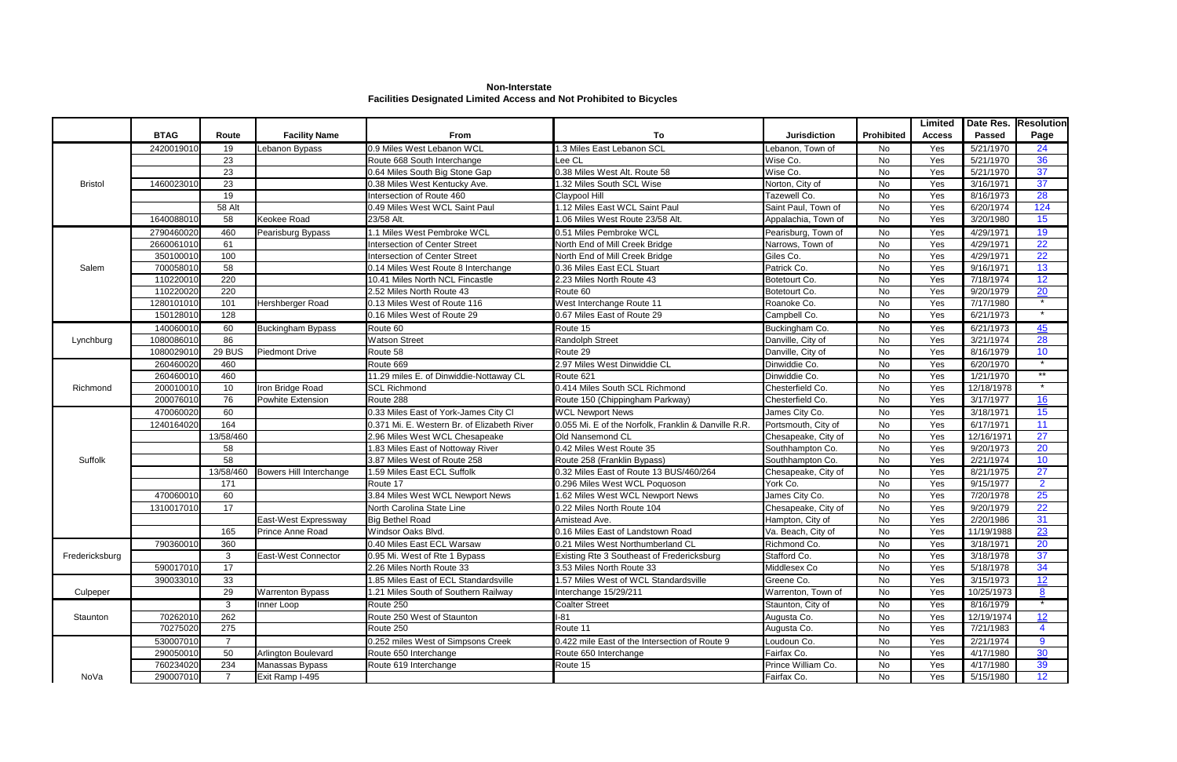**Non-Interstate Facilities Designated Limited Access and Not Prohibited to Bicycles**

| <b>BTAG</b><br>To<br>Prohibited<br>Route<br><b>Facility Name</b><br><b>Jurisdiction</b><br><b>Passed</b><br>Page<br><b>From</b><br><b>Access</b><br>24<br>2420019010<br>Lebanon Bypass<br>0.9 Miles West Lebanon WCL<br>1.3 Miles East Lebanon SCL<br>Lebanon, Town of<br>Yes<br>5/21/1970<br>19<br>No<br>36<br>23<br>Wise Co.<br>No<br>5/21/1970<br>Route 668 South Interchange<br>Yes<br>Lee CL<br>37<br>23<br>0.38 Miles West Alt. Route 58<br>Wise Co.<br>Yes<br>0.64 Miles South Big Stone Gap<br>No<br>5/21/1970<br>37<br>1460023010<br>23<br>0.38 Miles West Kentucky Ave.<br>1.32 Miles South SCL Wise<br>Norton, City of<br>No<br>Yes<br>3/16/1971<br><b>Bristol</b><br>28<br>19<br>Tazewell Co.<br>No<br>Yes<br>8/16/1973<br>Intersection of Route 460<br>Claypool Hill<br>124<br>1.12 Miles East WCL Saint Paul<br>0.49 Miles West WCL Saint Paul<br>6/20/1974<br>58 Alt<br>Saint Paul, Town of<br>No<br>Yes<br>15<br>1640088010<br>3/20/1980<br>58<br><b>Keokee Road</b><br>23/58 Alt.<br>1.06 Miles West Route 23/58 Alt.<br>Appalachia, Town of<br>No<br>Yes<br>19<br>2790460020<br>460<br>1.1 Miles West Pembroke WCL<br>0.51 Miles Pembroke WCL<br>Pearisburg, Town of<br>4/29/1971<br>No<br>Yes<br>Pearisburg Bypass<br>22<br>61<br>2660061010<br>North End of Mill Creek Bridge<br>No<br>Yes<br>4/29/1971<br>Intersection of Center Street<br>Narrows, Town of<br>22<br>100<br>Intersection of Center Street<br>Giles Co.<br><b>No</b><br>Yes<br>4/29/1971<br>350100010<br>North End of Mill Creek Bridge<br>13<br>58<br>700058010<br>0.36 Miles East ECL Stuart<br>Patrick Co.<br>No<br>Yes<br>9/16/1971<br>0.14 Miles West Route 8 Interchange<br>Salem<br>12<br>220<br>Yes<br>110220010<br>10.41 Miles North NCL Fincastle<br>Botetourt Co.<br>No<br>7/18/1974<br>2.23 Miles North Route 43<br>$\overline{20}$<br>220<br>110220020<br>2.52 Miles North Route 43<br>Route 60<br>Yes<br>9/20/1979<br>Botetourt Co.<br>No<br>7/17/1980<br>1280101010<br>101<br>Hershberger Road<br>0.13 Miles West of Route 116<br>West Interchange Route 11<br>Roanoke Co.<br>No<br>Yes<br>128<br>150128010<br>0.16 Miles West of Route 29<br>0.67 Miles East of Route 29<br>Campbell Co.<br>No<br>6/21/1973<br>Yes<br>$\overline{45}$<br>140060010<br>6/21/1973<br>60<br><b>Buckingham Bypass</b><br>Route 60<br>Route 15<br>Buckingham Co.<br>No<br>Yes<br>28<br>86<br>1080086010<br><b>Watson Street</b><br>Randolph Street<br>Danville, City of<br>No<br>Yes<br>3/21/1974<br>Lynchburg<br>10<br>29 BUS<br>1080029010<br><b>Piedmont Drive</b><br>No<br>8/16/1979<br>Route 58<br>Route 29<br>Danville, City of<br>Yes<br>$\star$<br>Dinwiddie Co.<br>260460020<br>460<br>Route 669<br>2.97 Miles West Dinwiddie CL<br>No<br>6/20/1970<br>Yes<br>$*$<br>460<br>Dinwiddie Co.<br>260460010<br>11.29 miles E. of Dinwiddie-Nottaway CL<br>No<br>Yes<br>1/21/1970<br>Route 621<br>$\star$<br>0.414 Miles South SCL Richmond<br>10<br>No<br>Yes<br>200010010<br>Iron Bridge Road<br><b>SCL Richmond</b><br>Chesterfield Co.<br>12/18/1978<br>Richmond<br>16<br>76<br>200076010<br>Chesterfield Co.<br>No<br>Yes<br>3/17/1977<br>Powhite Extension<br>Route 288<br>Route 150 (Chippingham Parkway)<br>15<br>470060020<br>60<br>0.33 Miles East of York-James City Cl<br><b>WCL Newport News</b><br>James City Co.<br>3/18/1971<br>No<br>Yes<br>11<br>164<br>0.055 Mi. E of the Norfolk, Franklin & Danville R.R.<br>1240164020<br>0.371 Mi. E. Western Br. of Elizabeth River<br>Portsmouth, City of<br>No<br>Yes<br>6/17/1971<br>27<br>13/58/460<br>Old Nansemond CL<br>2.96 Miles West WCL Chesapeake<br>Chesapeake, City of<br>No<br>Yes<br>12/16/1971<br>20<br>58<br>1.83 Miles East of Nottoway River<br>0.42 Miles West Route 35<br>Southhampton Co.<br>No<br>Yes<br>9/20/1973<br>10<br>58<br>3.87 Miles West of Route 258<br>No<br>Yes<br>2/21/1974<br>Route 258 (Franklin Bypass)<br>Southhampton Co.<br>Suffolk<br>27<br>Bowers Hill Interchange<br>13/58/460<br>1.59 Miles East ECL Suffolk<br>0.32 Miles East of Route 13 BUS/460/264<br>No<br>Yes<br>8/21/1975<br>Chesapeake, City of<br>$\overline{2}$<br>York Co.<br>171<br>Route 17<br>0.296 Miles West WCL Poquoson<br><b>No</b><br>Yes<br>9/15/1977<br>25<br>3.84 Miles West WCL Newport News<br>470060010<br>60<br>James City Co.<br>No<br>Yes<br>7/20/1978<br>1.62 Miles West WCL Newport News<br>22<br>17<br>North Carolina State Line<br>0.22 Miles North Route 104<br>No<br>Yes<br>9/20/1979<br>1310017010<br>Chesapeake, City of<br>31<br>2/20/1986<br>East-West Expressway<br><b>Big Bethel Road</b><br>Amistead Ave.<br>Hampton, City of<br>No<br>Yes<br>23<br>165<br>Prince Anne Road<br>Windsor Oaks Blvd.<br>0.16 Miles East of Landstown Road<br>Va. Beach, City of<br>No<br>Yes<br>11/19/1988<br>20<br>790360010<br>360<br>0.40 Miles East ECL Warsaw<br>Richmond Co.<br>3/18/1971<br>0.21 Miles West Northumberland CL<br>No<br>Yes<br>37<br>Fredericksburg<br>0.95 Mi. West of Rte 1 Bypass<br>Stafford Co.<br>3/18/1978<br>3<br>East-West Connector<br>Existing Rte 3 Southeast of Fredericksburg<br>No<br>Yes<br>34<br>590017010<br>17<br>Middlesex Co<br>2.26 Miles North Route 33<br>3.53 Miles North Route 33<br>No<br>Yes<br>5/18/1978<br>390033010<br>33<br>1.85 Miles East of ECL Standardsville<br>1.57 Miles West of WCL Standardsville<br>Greene Co.<br>3/15/1973<br>12<br>No<br>Yes<br><b>Warrenton Bypass</b><br>Warrenton, Town of<br>29<br>1.21 Miles South of Southern Railway<br>Interchange 15/29/211<br>No<br>10/25/1973<br>8<br>Culpeper<br>Yes<br><b>Coalter Street</b><br>Route 250<br>Staunton, City of<br>8/16/1979<br>3<br>Inner Loop<br>No<br>Yes<br>262<br>Route 250 West of Staunton<br>$I-81$<br>12<br>70262010<br>12/19/1974<br>Augusta Co.<br>No<br>Yes<br>Staunton<br>275<br>Route 11<br>70275020<br>Augusta Co.<br>No<br>7/21/1983<br>Route 250<br>Yes<br>0.252 miles West of Simpsons Creek<br>530007010<br>0.422 mile East of the Intersection of Route 9<br>Loudoun Co.<br>2/21/1974<br>9<br>No<br>Yes<br>30<br>50<br>290050010<br>Arlington Boulevard<br>Fairfax Co.<br>4/17/1980<br>Route 650 Interchange<br>Route 650 Interchange<br>No<br>Yes<br>39<br>760234020<br>Prince William Co.<br>234<br>No<br>Yes<br>4/17/1980<br>Manassas Bypass<br>Route 619 Interchange<br>Route 15 |      |           |                 |  |             |    | Limited |           | Date Res. Resolution |
|---------------------------------------------------------------------------------------------------------------------------------------------------------------------------------------------------------------------------------------------------------------------------------------------------------------------------------------------------------------------------------------------------------------------------------------------------------------------------------------------------------------------------------------------------------------------------------------------------------------------------------------------------------------------------------------------------------------------------------------------------------------------------------------------------------------------------------------------------------------------------------------------------------------------------------------------------------------------------------------------------------------------------------------------------------------------------------------------------------------------------------------------------------------------------------------------------------------------------------------------------------------------------------------------------------------------------------------------------------------------------------------------------------------------------------------------------------------------------------------------------------------------------------------------------------------------------------------------------------------------------------------------------------------------------------------------------------------------------------------------------------------------------------------------------------------------------------------------------------------------------------------------------------------------------------------------------------------------------------------------------------------------------------------------------------------------------------------------------------------------------------------------------------------------------------------------------------------------------------------------------------------------------------------------------------------------------------------------------------------------------------------------------------------------------------------------------------------------------------------------------------------------------------------------------------------------------------------------------------------------------------------------------------------------------------------------------------------------------------------------------------------------------------------------------------------------------------------------------------------------------------------------------------------------------------------------------------------------------------------------------------------------------------------------------------------------------------------------------------------------------------------------------------------------------------------------------------------------------------------------------------------------------------------------------------------------------------------------------------------------------------------------------------------------------------------------------------------------------------------------------------------------------------------------------------------------------------------------------------------------------------------------------------------------------------------------------------------------------------------------------------------------------------------------------------------------------------------------------------------------------------------------------------------------------------------------------------------------------------------------------------------------------------------------------------------------------------------------------------------------------------------------------------------------------------------------------------------------------------------------------------------------------------------------------------------------------------------------------------------------------------------------------------------------------------------------------------------------------------------------------------------------------------------------------------------------------------------------------------------------------------------------------------------------------------------------------------------------------------------------------------------------------------------------------------------------------------------------------------------------------------------------------------------------------------------------------------------------------------------------------------------------------------------------------------------------------------------------------------------------------------------------------------------------------------------------------------------------------------------------------------------------------------------------------------------------------------------------------------------------------------------------------------------------------------------------------------------------------------------------------------------------------------------------------------------------------------------------------------------------------------------------------------------------------------------------------------------------------------------------------------------------------------------------------------------------------------------------------------------------------------------------------------------------------------------------------------------------------------------------------------------------------------------------------------------------------------------------------------------------------------------------------------------------------------------------------------------------------------------------------------------------------------------------------------|------|-----------|-----------------|--|-------------|----|---------|-----------|----------------------|
|                                                                                                                                                                                                                                                                                                                                                                                                                                                                                                                                                                                                                                                                                                                                                                                                                                                                                                                                                                                                                                                                                                                                                                                                                                                                                                                                                                                                                                                                                                                                                                                                                                                                                                                                                                                                                                                                                                                                                                                                                                                                                                                                                                                                                                                                                                                                                                                                                                                                                                                                                                                                                                                                                                                                                                                                                                                                                                                                                                                                                                                                                                                                                                                                                                                                                                                                                                                                                                                                                                                                                                                                                                                                                                                                                                                                                                                                                                                                                                                                                                                                                                                                                                                                                                                                                                                                                                                                                                                                                                                                                                                                                                                                                                                                                                                                                                                                                                                                                                                                                                                                                                                                                                                                                                                                                                                                                                                                                                                                                                                                                                                                                                                                                                                                                                                                                                                                                                                                                                                                                                                                                                                                                                                                                                                                                                         |      |           |                 |  |             |    |         |           |                      |
|                                                                                                                                                                                                                                                                                                                                                                                                                                                                                                                                                                                                                                                                                                                                                                                                                                                                                                                                                                                                                                                                                                                                                                                                                                                                                                                                                                                                                                                                                                                                                                                                                                                                                                                                                                                                                                                                                                                                                                                                                                                                                                                                                                                                                                                                                                                                                                                                                                                                                                                                                                                                                                                                                                                                                                                                                                                                                                                                                                                                                                                                                                                                                                                                                                                                                                                                                                                                                                                                                                                                                                                                                                                                                                                                                                                                                                                                                                                                                                                                                                                                                                                                                                                                                                                                                                                                                                                                                                                                                                                                                                                                                                                                                                                                                                                                                                                                                                                                                                                                                                                                                                                                                                                                                                                                                                                                                                                                                                                                                                                                                                                                                                                                                                                                                                                                                                                                                                                                                                                                                                                                                                                                                                                                                                                                                                         |      |           |                 |  |             |    |         |           |                      |
|                                                                                                                                                                                                                                                                                                                                                                                                                                                                                                                                                                                                                                                                                                                                                                                                                                                                                                                                                                                                                                                                                                                                                                                                                                                                                                                                                                                                                                                                                                                                                                                                                                                                                                                                                                                                                                                                                                                                                                                                                                                                                                                                                                                                                                                                                                                                                                                                                                                                                                                                                                                                                                                                                                                                                                                                                                                                                                                                                                                                                                                                                                                                                                                                                                                                                                                                                                                                                                                                                                                                                                                                                                                                                                                                                                                                                                                                                                                                                                                                                                                                                                                                                                                                                                                                                                                                                                                                                                                                                                                                                                                                                                                                                                                                                                                                                                                                                                                                                                                                                                                                                                                                                                                                                                                                                                                                                                                                                                                                                                                                                                                                                                                                                                                                                                                                                                                                                                                                                                                                                                                                                                                                                                                                                                                                                                         |      |           |                 |  |             |    |         |           |                      |
|                                                                                                                                                                                                                                                                                                                                                                                                                                                                                                                                                                                                                                                                                                                                                                                                                                                                                                                                                                                                                                                                                                                                                                                                                                                                                                                                                                                                                                                                                                                                                                                                                                                                                                                                                                                                                                                                                                                                                                                                                                                                                                                                                                                                                                                                                                                                                                                                                                                                                                                                                                                                                                                                                                                                                                                                                                                                                                                                                                                                                                                                                                                                                                                                                                                                                                                                                                                                                                                                                                                                                                                                                                                                                                                                                                                                                                                                                                                                                                                                                                                                                                                                                                                                                                                                                                                                                                                                                                                                                                                                                                                                                                                                                                                                                                                                                                                                                                                                                                                                                                                                                                                                                                                                                                                                                                                                                                                                                                                                                                                                                                                                                                                                                                                                                                                                                                                                                                                                                                                                                                                                                                                                                                                                                                                                                                         |      |           |                 |  |             |    |         |           |                      |
|                                                                                                                                                                                                                                                                                                                                                                                                                                                                                                                                                                                                                                                                                                                                                                                                                                                                                                                                                                                                                                                                                                                                                                                                                                                                                                                                                                                                                                                                                                                                                                                                                                                                                                                                                                                                                                                                                                                                                                                                                                                                                                                                                                                                                                                                                                                                                                                                                                                                                                                                                                                                                                                                                                                                                                                                                                                                                                                                                                                                                                                                                                                                                                                                                                                                                                                                                                                                                                                                                                                                                                                                                                                                                                                                                                                                                                                                                                                                                                                                                                                                                                                                                                                                                                                                                                                                                                                                                                                                                                                                                                                                                                                                                                                                                                                                                                                                                                                                                                                                                                                                                                                                                                                                                                                                                                                                                                                                                                                                                                                                                                                                                                                                                                                                                                                                                                                                                                                                                                                                                                                                                                                                                                                                                                                                                                         |      |           |                 |  |             |    |         |           |                      |
|                                                                                                                                                                                                                                                                                                                                                                                                                                                                                                                                                                                                                                                                                                                                                                                                                                                                                                                                                                                                                                                                                                                                                                                                                                                                                                                                                                                                                                                                                                                                                                                                                                                                                                                                                                                                                                                                                                                                                                                                                                                                                                                                                                                                                                                                                                                                                                                                                                                                                                                                                                                                                                                                                                                                                                                                                                                                                                                                                                                                                                                                                                                                                                                                                                                                                                                                                                                                                                                                                                                                                                                                                                                                                                                                                                                                                                                                                                                                                                                                                                                                                                                                                                                                                                                                                                                                                                                                                                                                                                                                                                                                                                                                                                                                                                                                                                                                                                                                                                                                                                                                                                                                                                                                                                                                                                                                                                                                                                                                                                                                                                                                                                                                                                                                                                                                                                                                                                                                                                                                                                                                                                                                                                                                                                                                                                         |      |           |                 |  |             |    |         |           |                      |
|                                                                                                                                                                                                                                                                                                                                                                                                                                                                                                                                                                                                                                                                                                                                                                                                                                                                                                                                                                                                                                                                                                                                                                                                                                                                                                                                                                                                                                                                                                                                                                                                                                                                                                                                                                                                                                                                                                                                                                                                                                                                                                                                                                                                                                                                                                                                                                                                                                                                                                                                                                                                                                                                                                                                                                                                                                                                                                                                                                                                                                                                                                                                                                                                                                                                                                                                                                                                                                                                                                                                                                                                                                                                                                                                                                                                                                                                                                                                                                                                                                                                                                                                                                                                                                                                                                                                                                                                                                                                                                                                                                                                                                                                                                                                                                                                                                                                                                                                                                                                                                                                                                                                                                                                                                                                                                                                                                                                                                                                                                                                                                                                                                                                                                                                                                                                                                                                                                                                                                                                                                                                                                                                                                                                                                                                                                         |      |           |                 |  |             |    |         |           |                      |
|                                                                                                                                                                                                                                                                                                                                                                                                                                                                                                                                                                                                                                                                                                                                                                                                                                                                                                                                                                                                                                                                                                                                                                                                                                                                                                                                                                                                                                                                                                                                                                                                                                                                                                                                                                                                                                                                                                                                                                                                                                                                                                                                                                                                                                                                                                                                                                                                                                                                                                                                                                                                                                                                                                                                                                                                                                                                                                                                                                                                                                                                                                                                                                                                                                                                                                                                                                                                                                                                                                                                                                                                                                                                                                                                                                                                                                                                                                                                                                                                                                                                                                                                                                                                                                                                                                                                                                                                                                                                                                                                                                                                                                                                                                                                                                                                                                                                                                                                                                                                                                                                                                                                                                                                                                                                                                                                                                                                                                                                                                                                                                                                                                                                                                                                                                                                                                                                                                                                                                                                                                                                                                                                                                                                                                                                                                         |      |           |                 |  |             |    |         |           |                      |
|                                                                                                                                                                                                                                                                                                                                                                                                                                                                                                                                                                                                                                                                                                                                                                                                                                                                                                                                                                                                                                                                                                                                                                                                                                                                                                                                                                                                                                                                                                                                                                                                                                                                                                                                                                                                                                                                                                                                                                                                                                                                                                                                                                                                                                                                                                                                                                                                                                                                                                                                                                                                                                                                                                                                                                                                                                                                                                                                                                                                                                                                                                                                                                                                                                                                                                                                                                                                                                                                                                                                                                                                                                                                                                                                                                                                                                                                                                                                                                                                                                                                                                                                                                                                                                                                                                                                                                                                                                                                                                                                                                                                                                                                                                                                                                                                                                                                                                                                                                                                                                                                                                                                                                                                                                                                                                                                                                                                                                                                                                                                                                                                                                                                                                                                                                                                                                                                                                                                                                                                                                                                                                                                                                                                                                                                                                         |      |           |                 |  |             |    |         |           |                      |
|                                                                                                                                                                                                                                                                                                                                                                                                                                                                                                                                                                                                                                                                                                                                                                                                                                                                                                                                                                                                                                                                                                                                                                                                                                                                                                                                                                                                                                                                                                                                                                                                                                                                                                                                                                                                                                                                                                                                                                                                                                                                                                                                                                                                                                                                                                                                                                                                                                                                                                                                                                                                                                                                                                                                                                                                                                                                                                                                                                                                                                                                                                                                                                                                                                                                                                                                                                                                                                                                                                                                                                                                                                                                                                                                                                                                                                                                                                                                                                                                                                                                                                                                                                                                                                                                                                                                                                                                                                                                                                                                                                                                                                                                                                                                                                                                                                                                                                                                                                                                                                                                                                                                                                                                                                                                                                                                                                                                                                                                                                                                                                                                                                                                                                                                                                                                                                                                                                                                                                                                                                                                                                                                                                                                                                                                                                         |      |           |                 |  |             |    |         |           |                      |
|                                                                                                                                                                                                                                                                                                                                                                                                                                                                                                                                                                                                                                                                                                                                                                                                                                                                                                                                                                                                                                                                                                                                                                                                                                                                                                                                                                                                                                                                                                                                                                                                                                                                                                                                                                                                                                                                                                                                                                                                                                                                                                                                                                                                                                                                                                                                                                                                                                                                                                                                                                                                                                                                                                                                                                                                                                                                                                                                                                                                                                                                                                                                                                                                                                                                                                                                                                                                                                                                                                                                                                                                                                                                                                                                                                                                                                                                                                                                                                                                                                                                                                                                                                                                                                                                                                                                                                                                                                                                                                                                                                                                                                                                                                                                                                                                                                                                                                                                                                                                                                                                                                                                                                                                                                                                                                                                                                                                                                                                                                                                                                                                                                                                                                                                                                                                                                                                                                                                                                                                                                                                                                                                                                                                                                                                                                         |      |           |                 |  |             |    |         |           |                      |
|                                                                                                                                                                                                                                                                                                                                                                                                                                                                                                                                                                                                                                                                                                                                                                                                                                                                                                                                                                                                                                                                                                                                                                                                                                                                                                                                                                                                                                                                                                                                                                                                                                                                                                                                                                                                                                                                                                                                                                                                                                                                                                                                                                                                                                                                                                                                                                                                                                                                                                                                                                                                                                                                                                                                                                                                                                                                                                                                                                                                                                                                                                                                                                                                                                                                                                                                                                                                                                                                                                                                                                                                                                                                                                                                                                                                                                                                                                                                                                                                                                                                                                                                                                                                                                                                                                                                                                                                                                                                                                                                                                                                                                                                                                                                                                                                                                                                                                                                                                                                                                                                                                                                                                                                                                                                                                                                                                                                                                                                                                                                                                                                                                                                                                                                                                                                                                                                                                                                                                                                                                                                                                                                                                                                                                                                                                         |      |           |                 |  |             |    |         |           |                      |
|                                                                                                                                                                                                                                                                                                                                                                                                                                                                                                                                                                                                                                                                                                                                                                                                                                                                                                                                                                                                                                                                                                                                                                                                                                                                                                                                                                                                                                                                                                                                                                                                                                                                                                                                                                                                                                                                                                                                                                                                                                                                                                                                                                                                                                                                                                                                                                                                                                                                                                                                                                                                                                                                                                                                                                                                                                                                                                                                                                                                                                                                                                                                                                                                                                                                                                                                                                                                                                                                                                                                                                                                                                                                                                                                                                                                                                                                                                                                                                                                                                                                                                                                                                                                                                                                                                                                                                                                                                                                                                                                                                                                                                                                                                                                                                                                                                                                                                                                                                                                                                                                                                                                                                                                                                                                                                                                                                                                                                                                                                                                                                                                                                                                                                                                                                                                                                                                                                                                                                                                                                                                                                                                                                                                                                                                                                         |      |           |                 |  |             |    |         |           |                      |
|                                                                                                                                                                                                                                                                                                                                                                                                                                                                                                                                                                                                                                                                                                                                                                                                                                                                                                                                                                                                                                                                                                                                                                                                                                                                                                                                                                                                                                                                                                                                                                                                                                                                                                                                                                                                                                                                                                                                                                                                                                                                                                                                                                                                                                                                                                                                                                                                                                                                                                                                                                                                                                                                                                                                                                                                                                                                                                                                                                                                                                                                                                                                                                                                                                                                                                                                                                                                                                                                                                                                                                                                                                                                                                                                                                                                                                                                                                                                                                                                                                                                                                                                                                                                                                                                                                                                                                                                                                                                                                                                                                                                                                                                                                                                                                                                                                                                                                                                                                                                                                                                                                                                                                                                                                                                                                                                                                                                                                                                                                                                                                                                                                                                                                                                                                                                                                                                                                                                                                                                                                                                                                                                                                                                                                                                                                         |      |           |                 |  |             |    |         |           |                      |
|                                                                                                                                                                                                                                                                                                                                                                                                                                                                                                                                                                                                                                                                                                                                                                                                                                                                                                                                                                                                                                                                                                                                                                                                                                                                                                                                                                                                                                                                                                                                                                                                                                                                                                                                                                                                                                                                                                                                                                                                                                                                                                                                                                                                                                                                                                                                                                                                                                                                                                                                                                                                                                                                                                                                                                                                                                                                                                                                                                                                                                                                                                                                                                                                                                                                                                                                                                                                                                                                                                                                                                                                                                                                                                                                                                                                                                                                                                                                                                                                                                                                                                                                                                                                                                                                                                                                                                                                                                                                                                                                                                                                                                                                                                                                                                                                                                                                                                                                                                                                                                                                                                                                                                                                                                                                                                                                                                                                                                                                                                                                                                                                                                                                                                                                                                                                                                                                                                                                                                                                                                                                                                                                                                                                                                                                                                         |      |           |                 |  |             |    |         |           |                      |
|                                                                                                                                                                                                                                                                                                                                                                                                                                                                                                                                                                                                                                                                                                                                                                                                                                                                                                                                                                                                                                                                                                                                                                                                                                                                                                                                                                                                                                                                                                                                                                                                                                                                                                                                                                                                                                                                                                                                                                                                                                                                                                                                                                                                                                                                                                                                                                                                                                                                                                                                                                                                                                                                                                                                                                                                                                                                                                                                                                                                                                                                                                                                                                                                                                                                                                                                                                                                                                                                                                                                                                                                                                                                                                                                                                                                                                                                                                                                                                                                                                                                                                                                                                                                                                                                                                                                                                                                                                                                                                                                                                                                                                                                                                                                                                                                                                                                                                                                                                                                                                                                                                                                                                                                                                                                                                                                                                                                                                                                                                                                                                                                                                                                                                                                                                                                                                                                                                                                                                                                                                                                                                                                                                                                                                                                                                         |      |           |                 |  |             |    |         |           |                      |
|                                                                                                                                                                                                                                                                                                                                                                                                                                                                                                                                                                                                                                                                                                                                                                                                                                                                                                                                                                                                                                                                                                                                                                                                                                                                                                                                                                                                                                                                                                                                                                                                                                                                                                                                                                                                                                                                                                                                                                                                                                                                                                                                                                                                                                                                                                                                                                                                                                                                                                                                                                                                                                                                                                                                                                                                                                                                                                                                                                                                                                                                                                                                                                                                                                                                                                                                                                                                                                                                                                                                                                                                                                                                                                                                                                                                                                                                                                                                                                                                                                                                                                                                                                                                                                                                                                                                                                                                                                                                                                                                                                                                                                                                                                                                                                                                                                                                                                                                                                                                                                                                                                                                                                                                                                                                                                                                                                                                                                                                                                                                                                                                                                                                                                                                                                                                                                                                                                                                                                                                                                                                                                                                                                                                                                                                                                         |      |           |                 |  |             |    |         |           |                      |
|                                                                                                                                                                                                                                                                                                                                                                                                                                                                                                                                                                                                                                                                                                                                                                                                                                                                                                                                                                                                                                                                                                                                                                                                                                                                                                                                                                                                                                                                                                                                                                                                                                                                                                                                                                                                                                                                                                                                                                                                                                                                                                                                                                                                                                                                                                                                                                                                                                                                                                                                                                                                                                                                                                                                                                                                                                                                                                                                                                                                                                                                                                                                                                                                                                                                                                                                                                                                                                                                                                                                                                                                                                                                                                                                                                                                                                                                                                                                                                                                                                                                                                                                                                                                                                                                                                                                                                                                                                                                                                                                                                                                                                                                                                                                                                                                                                                                                                                                                                                                                                                                                                                                                                                                                                                                                                                                                                                                                                                                                                                                                                                                                                                                                                                                                                                                                                                                                                                                                                                                                                                                                                                                                                                                                                                                                                         |      |           |                 |  |             |    |         |           |                      |
|                                                                                                                                                                                                                                                                                                                                                                                                                                                                                                                                                                                                                                                                                                                                                                                                                                                                                                                                                                                                                                                                                                                                                                                                                                                                                                                                                                                                                                                                                                                                                                                                                                                                                                                                                                                                                                                                                                                                                                                                                                                                                                                                                                                                                                                                                                                                                                                                                                                                                                                                                                                                                                                                                                                                                                                                                                                                                                                                                                                                                                                                                                                                                                                                                                                                                                                                                                                                                                                                                                                                                                                                                                                                                                                                                                                                                                                                                                                                                                                                                                                                                                                                                                                                                                                                                                                                                                                                                                                                                                                                                                                                                                                                                                                                                                                                                                                                                                                                                                                                                                                                                                                                                                                                                                                                                                                                                                                                                                                                                                                                                                                                                                                                                                                                                                                                                                                                                                                                                                                                                                                                                                                                                                                                                                                                                                         |      |           |                 |  |             |    |         |           |                      |
|                                                                                                                                                                                                                                                                                                                                                                                                                                                                                                                                                                                                                                                                                                                                                                                                                                                                                                                                                                                                                                                                                                                                                                                                                                                                                                                                                                                                                                                                                                                                                                                                                                                                                                                                                                                                                                                                                                                                                                                                                                                                                                                                                                                                                                                                                                                                                                                                                                                                                                                                                                                                                                                                                                                                                                                                                                                                                                                                                                                                                                                                                                                                                                                                                                                                                                                                                                                                                                                                                                                                                                                                                                                                                                                                                                                                                                                                                                                                                                                                                                                                                                                                                                                                                                                                                                                                                                                                                                                                                                                                                                                                                                                                                                                                                                                                                                                                                                                                                                                                                                                                                                                                                                                                                                                                                                                                                                                                                                                                                                                                                                                                                                                                                                                                                                                                                                                                                                                                                                                                                                                                                                                                                                                                                                                                                                         |      |           |                 |  |             |    |         |           |                      |
|                                                                                                                                                                                                                                                                                                                                                                                                                                                                                                                                                                                                                                                                                                                                                                                                                                                                                                                                                                                                                                                                                                                                                                                                                                                                                                                                                                                                                                                                                                                                                                                                                                                                                                                                                                                                                                                                                                                                                                                                                                                                                                                                                                                                                                                                                                                                                                                                                                                                                                                                                                                                                                                                                                                                                                                                                                                                                                                                                                                                                                                                                                                                                                                                                                                                                                                                                                                                                                                                                                                                                                                                                                                                                                                                                                                                                                                                                                                                                                                                                                                                                                                                                                                                                                                                                                                                                                                                                                                                                                                                                                                                                                                                                                                                                                                                                                                                                                                                                                                                                                                                                                                                                                                                                                                                                                                                                                                                                                                                                                                                                                                                                                                                                                                                                                                                                                                                                                                                                                                                                                                                                                                                                                                                                                                                                                         |      |           |                 |  |             |    |         |           |                      |
|                                                                                                                                                                                                                                                                                                                                                                                                                                                                                                                                                                                                                                                                                                                                                                                                                                                                                                                                                                                                                                                                                                                                                                                                                                                                                                                                                                                                                                                                                                                                                                                                                                                                                                                                                                                                                                                                                                                                                                                                                                                                                                                                                                                                                                                                                                                                                                                                                                                                                                                                                                                                                                                                                                                                                                                                                                                                                                                                                                                                                                                                                                                                                                                                                                                                                                                                                                                                                                                                                                                                                                                                                                                                                                                                                                                                                                                                                                                                                                                                                                                                                                                                                                                                                                                                                                                                                                                                                                                                                                                                                                                                                                                                                                                                                                                                                                                                                                                                                                                                                                                                                                                                                                                                                                                                                                                                                                                                                                                                                                                                                                                                                                                                                                                                                                                                                                                                                                                                                                                                                                                                                                                                                                                                                                                                                                         |      |           |                 |  |             |    |         |           |                      |
|                                                                                                                                                                                                                                                                                                                                                                                                                                                                                                                                                                                                                                                                                                                                                                                                                                                                                                                                                                                                                                                                                                                                                                                                                                                                                                                                                                                                                                                                                                                                                                                                                                                                                                                                                                                                                                                                                                                                                                                                                                                                                                                                                                                                                                                                                                                                                                                                                                                                                                                                                                                                                                                                                                                                                                                                                                                                                                                                                                                                                                                                                                                                                                                                                                                                                                                                                                                                                                                                                                                                                                                                                                                                                                                                                                                                                                                                                                                                                                                                                                                                                                                                                                                                                                                                                                                                                                                                                                                                                                                                                                                                                                                                                                                                                                                                                                                                                                                                                                                                                                                                                                                                                                                                                                                                                                                                                                                                                                                                                                                                                                                                                                                                                                                                                                                                                                                                                                                                                                                                                                                                                                                                                                                                                                                                                                         |      |           |                 |  |             |    |         |           |                      |
|                                                                                                                                                                                                                                                                                                                                                                                                                                                                                                                                                                                                                                                                                                                                                                                                                                                                                                                                                                                                                                                                                                                                                                                                                                                                                                                                                                                                                                                                                                                                                                                                                                                                                                                                                                                                                                                                                                                                                                                                                                                                                                                                                                                                                                                                                                                                                                                                                                                                                                                                                                                                                                                                                                                                                                                                                                                                                                                                                                                                                                                                                                                                                                                                                                                                                                                                                                                                                                                                                                                                                                                                                                                                                                                                                                                                                                                                                                                                                                                                                                                                                                                                                                                                                                                                                                                                                                                                                                                                                                                                                                                                                                                                                                                                                                                                                                                                                                                                                                                                                                                                                                                                                                                                                                                                                                                                                                                                                                                                                                                                                                                                                                                                                                                                                                                                                                                                                                                                                                                                                                                                                                                                                                                                                                                                                                         |      |           |                 |  |             |    |         |           |                      |
|                                                                                                                                                                                                                                                                                                                                                                                                                                                                                                                                                                                                                                                                                                                                                                                                                                                                                                                                                                                                                                                                                                                                                                                                                                                                                                                                                                                                                                                                                                                                                                                                                                                                                                                                                                                                                                                                                                                                                                                                                                                                                                                                                                                                                                                                                                                                                                                                                                                                                                                                                                                                                                                                                                                                                                                                                                                                                                                                                                                                                                                                                                                                                                                                                                                                                                                                                                                                                                                                                                                                                                                                                                                                                                                                                                                                                                                                                                                                                                                                                                                                                                                                                                                                                                                                                                                                                                                                                                                                                                                                                                                                                                                                                                                                                                                                                                                                                                                                                                                                                                                                                                                                                                                                                                                                                                                                                                                                                                                                                                                                                                                                                                                                                                                                                                                                                                                                                                                                                                                                                                                                                                                                                                                                                                                                                                         |      |           |                 |  |             |    |         |           |                      |
|                                                                                                                                                                                                                                                                                                                                                                                                                                                                                                                                                                                                                                                                                                                                                                                                                                                                                                                                                                                                                                                                                                                                                                                                                                                                                                                                                                                                                                                                                                                                                                                                                                                                                                                                                                                                                                                                                                                                                                                                                                                                                                                                                                                                                                                                                                                                                                                                                                                                                                                                                                                                                                                                                                                                                                                                                                                                                                                                                                                                                                                                                                                                                                                                                                                                                                                                                                                                                                                                                                                                                                                                                                                                                                                                                                                                                                                                                                                                                                                                                                                                                                                                                                                                                                                                                                                                                                                                                                                                                                                                                                                                                                                                                                                                                                                                                                                                                                                                                                                                                                                                                                                                                                                                                                                                                                                                                                                                                                                                                                                                                                                                                                                                                                                                                                                                                                                                                                                                                                                                                                                                                                                                                                                                                                                                                                         |      |           |                 |  |             |    |         |           |                      |
|                                                                                                                                                                                                                                                                                                                                                                                                                                                                                                                                                                                                                                                                                                                                                                                                                                                                                                                                                                                                                                                                                                                                                                                                                                                                                                                                                                                                                                                                                                                                                                                                                                                                                                                                                                                                                                                                                                                                                                                                                                                                                                                                                                                                                                                                                                                                                                                                                                                                                                                                                                                                                                                                                                                                                                                                                                                                                                                                                                                                                                                                                                                                                                                                                                                                                                                                                                                                                                                                                                                                                                                                                                                                                                                                                                                                                                                                                                                                                                                                                                                                                                                                                                                                                                                                                                                                                                                                                                                                                                                                                                                                                                                                                                                                                                                                                                                                                                                                                                                                                                                                                                                                                                                                                                                                                                                                                                                                                                                                                                                                                                                                                                                                                                                                                                                                                                                                                                                                                                                                                                                                                                                                                                                                                                                                                                         |      |           |                 |  |             |    |         |           |                      |
|                                                                                                                                                                                                                                                                                                                                                                                                                                                                                                                                                                                                                                                                                                                                                                                                                                                                                                                                                                                                                                                                                                                                                                                                                                                                                                                                                                                                                                                                                                                                                                                                                                                                                                                                                                                                                                                                                                                                                                                                                                                                                                                                                                                                                                                                                                                                                                                                                                                                                                                                                                                                                                                                                                                                                                                                                                                                                                                                                                                                                                                                                                                                                                                                                                                                                                                                                                                                                                                                                                                                                                                                                                                                                                                                                                                                                                                                                                                                                                                                                                                                                                                                                                                                                                                                                                                                                                                                                                                                                                                                                                                                                                                                                                                                                                                                                                                                                                                                                                                                                                                                                                                                                                                                                                                                                                                                                                                                                                                                                                                                                                                                                                                                                                                                                                                                                                                                                                                                                                                                                                                                                                                                                                                                                                                                                                         |      |           |                 |  |             |    |         |           |                      |
|                                                                                                                                                                                                                                                                                                                                                                                                                                                                                                                                                                                                                                                                                                                                                                                                                                                                                                                                                                                                                                                                                                                                                                                                                                                                                                                                                                                                                                                                                                                                                                                                                                                                                                                                                                                                                                                                                                                                                                                                                                                                                                                                                                                                                                                                                                                                                                                                                                                                                                                                                                                                                                                                                                                                                                                                                                                                                                                                                                                                                                                                                                                                                                                                                                                                                                                                                                                                                                                                                                                                                                                                                                                                                                                                                                                                                                                                                                                                                                                                                                                                                                                                                                                                                                                                                                                                                                                                                                                                                                                                                                                                                                                                                                                                                                                                                                                                                                                                                                                                                                                                                                                                                                                                                                                                                                                                                                                                                                                                                                                                                                                                                                                                                                                                                                                                                                                                                                                                                                                                                                                                                                                                                                                                                                                                                                         |      |           |                 |  |             |    |         |           |                      |
|                                                                                                                                                                                                                                                                                                                                                                                                                                                                                                                                                                                                                                                                                                                                                                                                                                                                                                                                                                                                                                                                                                                                                                                                                                                                                                                                                                                                                                                                                                                                                                                                                                                                                                                                                                                                                                                                                                                                                                                                                                                                                                                                                                                                                                                                                                                                                                                                                                                                                                                                                                                                                                                                                                                                                                                                                                                                                                                                                                                                                                                                                                                                                                                                                                                                                                                                                                                                                                                                                                                                                                                                                                                                                                                                                                                                                                                                                                                                                                                                                                                                                                                                                                                                                                                                                                                                                                                                                                                                                                                                                                                                                                                                                                                                                                                                                                                                                                                                                                                                                                                                                                                                                                                                                                                                                                                                                                                                                                                                                                                                                                                                                                                                                                                                                                                                                                                                                                                                                                                                                                                                                                                                                                                                                                                                                                         |      |           |                 |  |             |    |         |           |                      |
|                                                                                                                                                                                                                                                                                                                                                                                                                                                                                                                                                                                                                                                                                                                                                                                                                                                                                                                                                                                                                                                                                                                                                                                                                                                                                                                                                                                                                                                                                                                                                                                                                                                                                                                                                                                                                                                                                                                                                                                                                                                                                                                                                                                                                                                                                                                                                                                                                                                                                                                                                                                                                                                                                                                                                                                                                                                                                                                                                                                                                                                                                                                                                                                                                                                                                                                                                                                                                                                                                                                                                                                                                                                                                                                                                                                                                                                                                                                                                                                                                                                                                                                                                                                                                                                                                                                                                                                                                                                                                                                                                                                                                                                                                                                                                                                                                                                                                                                                                                                                                                                                                                                                                                                                                                                                                                                                                                                                                                                                                                                                                                                                                                                                                                                                                                                                                                                                                                                                                                                                                                                                                                                                                                                                                                                                                                         |      |           |                 |  |             |    |         |           |                      |
|                                                                                                                                                                                                                                                                                                                                                                                                                                                                                                                                                                                                                                                                                                                                                                                                                                                                                                                                                                                                                                                                                                                                                                                                                                                                                                                                                                                                                                                                                                                                                                                                                                                                                                                                                                                                                                                                                                                                                                                                                                                                                                                                                                                                                                                                                                                                                                                                                                                                                                                                                                                                                                                                                                                                                                                                                                                                                                                                                                                                                                                                                                                                                                                                                                                                                                                                                                                                                                                                                                                                                                                                                                                                                                                                                                                                                                                                                                                                                                                                                                                                                                                                                                                                                                                                                                                                                                                                                                                                                                                                                                                                                                                                                                                                                                                                                                                                                                                                                                                                                                                                                                                                                                                                                                                                                                                                                                                                                                                                                                                                                                                                                                                                                                                                                                                                                                                                                                                                                                                                                                                                                                                                                                                                                                                                                                         |      |           |                 |  |             |    |         |           |                      |
|                                                                                                                                                                                                                                                                                                                                                                                                                                                                                                                                                                                                                                                                                                                                                                                                                                                                                                                                                                                                                                                                                                                                                                                                                                                                                                                                                                                                                                                                                                                                                                                                                                                                                                                                                                                                                                                                                                                                                                                                                                                                                                                                                                                                                                                                                                                                                                                                                                                                                                                                                                                                                                                                                                                                                                                                                                                                                                                                                                                                                                                                                                                                                                                                                                                                                                                                                                                                                                                                                                                                                                                                                                                                                                                                                                                                                                                                                                                                                                                                                                                                                                                                                                                                                                                                                                                                                                                                                                                                                                                                                                                                                                                                                                                                                                                                                                                                                                                                                                                                                                                                                                                                                                                                                                                                                                                                                                                                                                                                                                                                                                                                                                                                                                                                                                                                                                                                                                                                                                                                                                                                                                                                                                                                                                                                                                         |      |           |                 |  |             |    |         |           |                      |
|                                                                                                                                                                                                                                                                                                                                                                                                                                                                                                                                                                                                                                                                                                                                                                                                                                                                                                                                                                                                                                                                                                                                                                                                                                                                                                                                                                                                                                                                                                                                                                                                                                                                                                                                                                                                                                                                                                                                                                                                                                                                                                                                                                                                                                                                                                                                                                                                                                                                                                                                                                                                                                                                                                                                                                                                                                                                                                                                                                                                                                                                                                                                                                                                                                                                                                                                                                                                                                                                                                                                                                                                                                                                                                                                                                                                                                                                                                                                                                                                                                                                                                                                                                                                                                                                                                                                                                                                                                                                                                                                                                                                                                                                                                                                                                                                                                                                                                                                                                                                                                                                                                                                                                                                                                                                                                                                                                                                                                                                                                                                                                                                                                                                                                                                                                                                                                                                                                                                                                                                                                                                                                                                                                                                                                                                                                         |      |           |                 |  |             |    |         |           |                      |
|                                                                                                                                                                                                                                                                                                                                                                                                                                                                                                                                                                                                                                                                                                                                                                                                                                                                                                                                                                                                                                                                                                                                                                                                                                                                                                                                                                                                                                                                                                                                                                                                                                                                                                                                                                                                                                                                                                                                                                                                                                                                                                                                                                                                                                                                                                                                                                                                                                                                                                                                                                                                                                                                                                                                                                                                                                                                                                                                                                                                                                                                                                                                                                                                                                                                                                                                                                                                                                                                                                                                                                                                                                                                                                                                                                                                                                                                                                                                                                                                                                                                                                                                                                                                                                                                                                                                                                                                                                                                                                                                                                                                                                                                                                                                                                                                                                                                                                                                                                                                                                                                                                                                                                                                                                                                                                                                                                                                                                                                                                                                                                                                                                                                                                                                                                                                                                                                                                                                                                                                                                                                                                                                                                                                                                                                                                         |      |           |                 |  |             |    |         |           |                      |
|                                                                                                                                                                                                                                                                                                                                                                                                                                                                                                                                                                                                                                                                                                                                                                                                                                                                                                                                                                                                                                                                                                                                                                                                                                                                                                                                                                                                                                                                                                                                                                                                                                                                                                                                                                                                                                                                                                                                                                                                                                                                                                                                                                                                                                                                                                                                                                                                                                                                                                                                                                                                                                                                                                                                                                                                                                                                                                                                                                                                                                                                                                                                                                                                                                                                                                                                                                                                                                                                                                                                                                                                                                                                                                                                                                                                                                                                                                                                                                                                                                                                                                                                                                                                                                                                                                                                                                                                                                                                                                                                                                                                                                                                                                                                                                                                                                                                                                                                                                                                                                                                                                                                                                                                                                                                                                                                                                                                                                                                                                                                                                                                                                                                                                                                                                                                                                                                                                                                                                                                                                                                                                                                                                                                                                                                                                         |      |           |                 |  |             |    |         |           |                      |
|                                                                                                                                                                                                                                                                                                                                                                                                                                                                                                                                                                                                                                                                                                                                                                                                                                                                                                                                                                                                                                                                                                                                                                                                                                                                                                                                                                                                                                                                                                                                                                                                                                                                                                                                                                                                                                                                                                                                                                                                                                                                                                                                                                                                                                                                                                                                                                                                                                                                                                                                                                                                                                                                                                                                                                                                                                                                                                                                                                                                                                                                                                                                                                                                                                                                                                                                                                                                                                                                                                                                                                                                                                                                                                                                                                                                                                                                                                                                                                                                                                                                                                                                                                                                                                                                                                                                                                                                                                                                                                                                                                                                                                                                                                                                                                                                                                                                                                                                                                                                                                                                                                                                                                                                                                                                                                                                                                                                                                                                                                                                                                                                                                                                                                                                                                                                                                                                                                                                                                                                                                                                                                                                                                                                                                                                                                         |      |           |                 |  |             |    |         |           |                      |
|                                                                                                                                                                                                                                                                                                                                                                                                                                                                                                                                                                                                                                                                                                                                                                                                                                                                                                                                                                                                                                                                                                                                                                                                                                                                                                                                                                                                                                                                                                                                                                                                                                                                                                                                                                                                                                                                                                                                                                                                                                                                                                                                                                                                                                                                                                                                                                                                                                                                                                                                                                                                                                                                                                                                                                                                                                                                                                                                                                                                                                                                                                                                                                                                                                                                                                                                                                                                                                                                                                                                                                                                                                                                                                                                                                                                                                                                                                                                                                                                                                                                                                                                                                                                                                                                                                                                                                                                                                                                                                                                                                                                                                                                                                                                                                                                                                                                                                                                                                                                                                                                                                                                                                                                                                                                                                                                                                                                                                                                                                                                                                                                                                                                                                                                                                                                                                                                                                                                                                                                                                                                                                                                                                                                                                                                                                         |      |           |                 |  |             |    |         |           |                      |
|                                                                                                                                                                                                                                                                                                                                                                                                                                                                                                                                                                                                                                                                                                                                                                                                                                                                                                                                                                                                                                                                                                                                                                                                                                                                                                                                                                                                                                                                                                                                                                                                                                                                                                                                                                                                                                                                                                                                                                                                                                                                                                                                                                                                                                                                                                                                                                                                                                                                                                                                                                                                                                                                                                                                                                                                                                                                                                                                                                                                                                                                                                                                                                                                                                                                                                                                                                                                                                                                                                                                                                                                                                                                                                                                                                                                                                                                                                                                                                                                                                                                                                                                                                                                                                                                                                                                                                                                                                                                                                                                                                                                                                                                                                                                                                                                                                                                                                                                                                                                                                                                                                                                                                                                                                                                                                                                                                                                                                                                                                                                                                                                                                                                                                                                                                                                                                                                                                                                                                                                                                                                                                                                                                                                                                                                                                         |      |           |                 |  |             |    |         |           |                      |
|                                                                                                                                                                                                                                                                                                                                                                                                                                                                                                                                                                                                                                                                                                                                                                                                                                                                                                                                                                                                                                                                                                                                                                                                                                                                                                                                                                                                                                                                                                                                                                                                                                                                                                                                                                                                                                                                                                                                                                                                                                                                                                                                                                                                                                                                                                                                                                                                                                                                                                                                                                                                                                                                                                                                                                                                                                                                                                                                                                                                                                                                                                                                                                                                                                                                                                                                                                                                                                                                                                                                                                                                                                                                                                                                                                                                                                                                                                                                                                                                                                                                                                                                                                                                                                                                                                                                                                                                                                                                                                                                                                                                                                                                                                                                                                                                                                                                                                                                                                                                                                                                                                                                                                                                                                                                                                                                                                                                                                                                                                                                                                                                                                                                                                                                                                                                                                                                                                                                                                                                                                                                                                                                                                                                                                                                                                         |      |           |                 |  |             |    |         |           |                      |
|                                                                                                                                                                                                                                                                                                                                                                                                                                                                                                                                                                                                                                                                                                                                                                                                                                                                                                                                                                                                                                                                                                                                                                                                                                                                                                                                                                                                                                                                                                                                                                                                                                                                                                                                                                                                                                                                                                                                                                                                                                                                                                                                                                                                                                                                                                                                                                                                                                                                                                                                                                                                                                                                                                                                                                                                                                                                                                                                                                                                                                                                                                                                                                                                                                                                                                                                                                                                                                                                                                                                                                                                                                                                                                                                                                                                                                                                                                                                                                                                                                                                                                                                                                                                                                                                                                                                                                                                                                                                                                                                                                                                                                                                                                                                                                                                                                                                                                                                                                                                                                                                                                                                                                                                                                                                                                                                                                                                                                                                                                                                                                                                                                                                                                                                                                                                                                                                                                                                                                                                                                                                                                                                                                                                                                                                                                         |      |           |                 |  |             |    |         |           |                      |
|                                                                                                                                                                                                                                                                                                                                                                                                                                                                                                                                                                                                                                                                                                                                                                                                                                                                                                                                                                                                                                                                                                                                                                                                                                                                                                                                                                                                                                                                                                                                                                                                                                                                                                                                                                                                                                                                                                                                                                                                                                                                                                                                                                                                                                                                                                                                                                                                                                                                                                                                                                                                                                                                                                                                                                                                                                                                                                                                                                                                                                                                                                                                                                                                                                                                                                                                                                                                                                                                                                                                                                                                                                                                                                                                                                                                                                                                                                                                                                                                                                                                                                                                                                                                                                                                                                                                                                                                                                                                                                                                                                                                                                                                                                                                                                                                                                                                                                                                                                                                                                                                                                                                                                                                                                                                                                                                                                                                                                                                                                                                                                                                                                                                                                                                                                                                                                                                                                                                                                                                                                                                                                                                                                                                                                                                                                         |      |           |                 |  |             |    |         |           |                      |
|                                                                                                                                                                                                                                                                                                                                                                                                                                                                                                                                                                                                                                                                                                                                                                                                                                                                                                                                                                                                                                                                                                                                                                                                                                                                                                                                                                                                                                                                                                                                                                                                                                                                                                                                                                                                                                                                                                                                                                                                                                                                                                                                                                                                                                                                                                                                                                                                                                                                                                                                                                                                                                                                                                                                                                                                                                                                                                                                                                                                                                                                                                                                                                                                                                                                                                                                                                                                                                                                                                                                                                                                                                                                                                                                                                                                                                                                                                                                                                                                                                                                                                                                                                                                                                                                                                                                                                                                                                                                                                                                                                                                                                                                                                                                                                                                                                                                                                                                                                                                                                                                                                                                                                                                                                                                                                                                                                                                                                                                                                                                                                                                                                                                                                                                                                                                                                                                                                                                                                                                                                                                                                                                                                                                                                                                                                         |      |           |                 |  |             |    |         |           |                      |
|                                                                                                                                                                                                                                                                                                                                                                                                                                                                                                                                                                                                                                                                                                                                                                                                                                                                                                                                                                                                                                                                                                                                                                                                                                                                                                                                                                                                                                                                                                                                                                                                                                                                                                                                                                                                                                                                                                                                                                                                                                                                                                                                                                                                                                                                                                                                                                                                                                                                                                                                                                                                                                                                                                                                                                                                                                                                                                                                                                                                                                                                                                                                                                                                                                                                                                                                                                                                                                                                                                                                                                                                                                                                                                                                                                                                                                                                                                                                                                                                                                                                                                                                                                                                                                                                                                                                                                                                                                                                                                                                                                                                                                                                                                                                                                                                                                                                                                                                                                                                                                                                                                                                                                                                                                                                                                                                                                                                                                                                                                                                                                                                                                                                                                                                                                                                                                                                                                                                                                                                                                                                                                                                                                                                                                                                                                         |      |           |                 |  |             |    |         |           |                      |
|                                                                                                                                                                                                                                                                                                                                                                                                                                                                                                                                                                                                                                                                                                                                                                                                                                                                                                                                                                                                                                                                                                                                                                                                                                                                                                                                                                                                                                                                                                                                                                                                                                                                                                                                                                                                                                                                                                                                                                                                                                                                                                                                                                                                                                                                                                                                                                                                                                                                                                                                                                                                                                                                                                                                                                                                                                                                                                                                                                                                                                                                                                                                                                                                                                                                                                                                                                                                                                                                                                                                                                                                                                                                                                                                                                                                                                                                                                                                                                                                                                                                                                                                                                                                                                                                                                                                                                                                                                                                                                                                                                                                                                                                                                                                                                                                                                                                                                                                                                                                                                                                                                                                                                                                                                                                                                                                                                                                                                                                                                                                                                                                                                                                                                                                                                                                                                                                                                                                                                                                                                                                                                                                                                                                                                                                                                         |      |           |                 |  |             |    |         |           |                      |
|                                                                                                                                                                                                                                                                                                                                                                                                                                                                                                                                                                                                                                                                                                                                                                                                                                                                                                                                                                                                                                                                                                                                                                                                                                                                                                                                                                                                                                                                                                                                                                                                                                                                                                                                                                                                                                                                                                                                                                                                                                                                                                                                                                                                                                                                                                                                                                                                                                                                                                                                                                                                                                                                                                                                                                                                                                                                                                                                                                                                                                                                                                                                                                                                                                                                                                                                                                                                                                                                                                                                                                                                                                                                                                                                                                                                                                                                                                                                                                                                                                                                                                                                                                                                                                                                                                                                                                                                                                                                                                                                                                                                                                                                                                                                                                                                                                                                                                                                                                                                                                                                                                                                                                                                                                                                                                                                                                                                                                                                                                                                                                                                                                                                                                                                                                                                                                                                                                                                                                                                                                                                                                                                                                                                                                                                                                         | NoVa | 290007010 | Exit Ramp I-495 |  | Fairfax Co. | No | Yes     | 5/15/1980 | 12 <sup>2</sup>      |